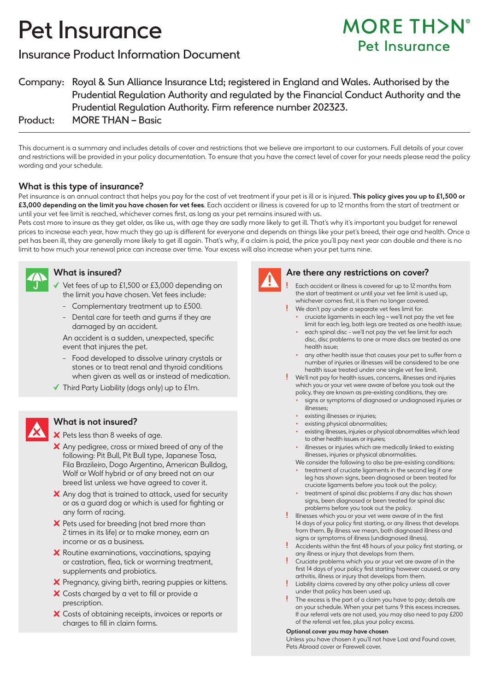# Pet Insurance

# Insurance Product Information Document

# **MORE TH>N°** Pet Insurance

Company: Royal & Sun Alliance Insurance Ltd; registered in England and Wales. Authorised by the Prudential Regulation Authority and regulated by the Financial Conduct Authority and the Prudential Regulation Authority. Firm reference number 202323.

Product: MORE THAN – Basic

This document is a summary and includes details of cover and restrictions that we believe are important to our customers. Full details of your cover and restrictions will be provided in your policy documentation. To ensure that you have the correct level of cover for your needs please read the policy wording and your schedule.

# **What is this type of insurance?**

Pet insurance is an annual contract that helps you pay for the cost of vet treatment if your pet is ill or is injured. **This policy gives you up to £1,500 or £3,000 depending on the limit you have chosen for vet fees**. Each accident or illness is covered for up to 12 months from the start of treatment or until your vet fee limit is reached, whichever comes first, as long as your pet remains insured with us.

Pets cost more to insure as they get older, as like us, with age they are sadly more likely to get ill. That's why it's important you budget for renewal prices to increase each year, how much they go up is different for everyone and depends on things like your pet's breed, their age and health. Once a pet has been ill, they are generally more likely to get ill again. That's why, if a claim is paid, the price you'll pay next year can double and there is no limit to how much your renewal price can increase over time. Your excess will also increase when your pet turns nine.



# **What is insured?**

- Vet fees of up to £1,500 or £3,000 depending on the limit you have chosen. Vet fees include:
- Complementary treatment up to £500.
- Dental care for teeth and gums if they are damaged by an accident.

An accident is a sudden, unexpected, specific event that injures the pet.

- Food developed to dissolve urinary crystals or stones or to treat renal and thyroid conditions when given as well as or instead of medication.
- $\checkmark$  Third Party Liability (dogs only) up to £1m.

# **What is not insured?**

X Pets less than 8 weeks of age.

- X Any pedigree, cross or mixed breed of any of the following: Pit Bull, Pit Bull type, Japanese Tosa, Fila Brazileiro, Dogo Argentino, American Bulldog, Wolf or Wolf hybrid or of any breed not on our breed list unless we have agreed to cover it.
- X Any dog that is trained to attack, used for security or as a guard dog or which is used for fighting or any form of racing.
- $\boldsymbol{\times}$  Pets used for breeding (not bred more than 2 times in its life) or to make money, earn an income or as a business.
- **X** Routine examinations, vaccinations, spaying or castration, flea, tick or worming treatment, supplements and probiotics.
- X Pregnancy, giving birth, rearing puppies or kittens.
- X Costs charged by a vet to fill or provide a prescription.
- X Costs of obtaining receipts, invoices or reports or charges to fill in claim forms.



# **Are there any restrictions on cover?**

- Each accident or illness is covered for up to 12 months from the start of treatment or until your vet fee limit is used up, whichever comes first, it is then no longer covered.
- We don't pay under a separate vet fees limit for: • cruciate ligaments in each leg – we'll not pay the vet fee limit for each leg, both legs are treated as one health issue;
- each spinal disc we'll not pay the vet fee limit for each disc, disc problems to one or more discs are treated as one health issue;
- any other health issue that causes your pet to suffer from a number of injuries or illnesses will be considered to be one health issue treated under one single vet fee limit.
- We'll not pay for health issues, concerns, illnesses and injuries which you or your vet were aware of before you took out the policy, they are known as pre-existing conditions, they are:
	- signs or symptoms of diagnosed or undiagnosed injuries or illnesses;
	- existing illnesses or injuries;
	- existing physical abnormalities;
	- existing illnesses, injuries or physical abnormalities which lead to other health issues or injuries;
	- illnesses or injuries which are medically linked to existing illnesses, injuries or physical abnormalities.

We consider the following to also be pre-existing conditions:

- treatment of cruciate ligaments in the second leg if one leg has shown signs, been diagnosed or been treated for cruciate ligaments before you took out the policy;
- treatment of spinal disc problems if any disc has shown signs, been diagnosed or been treated for spinal disc problems before you took out the policy.
- Illnesses which you or your vet were aware of in the first 14 days of your policy first starting, or any illness that develops from them. By illness we mean, both diagnosed illness and signs or symptoms of illness (undiagnosed illness).
- Accidents within the first 48 hours of your policy first starting, or any illness or injury that develops from them.
- Cruciate problems which you or your vet are aware of in the first 14 days of your policy first starting however caused, or any arthritis, illness or injury that develops from them.
- Liability claims covered by any other policy unless all cover under that policy has been used up.
- The excess is the part of a claim you have to pay; details are on your schedule. When your pet turns 9 this excess increases. If our referral vets are not used, you may also need to pay £200 of the referral vet fee, plus your policy excess.

#### **Optional cover you may have chosen**

Unless you have chosen it you'll not have Lost and Found cover, Pets Abroad cover or Farewell cover.